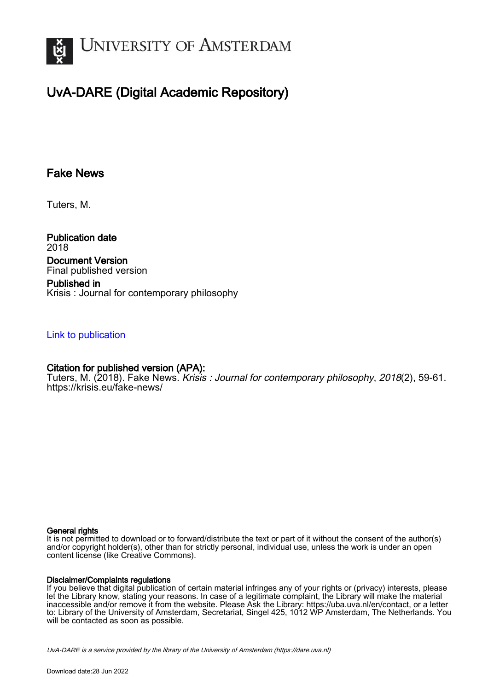

# UvA-DARE (Digital Academic Repository)

# Fake News

Tuters, M.

Publication date 2018 Document Version Final published version

Published in Krisis : Journal for contemporary philosophy

### [Link to publication](https://dare.uva.nl/personal/pure/en/publications/fake-news(407ec75e-a5b2-431c-9240-f01b0dbfef9c).html)

## Citation for published version (APA):

Tuters, M. (2018). Fake News. *Krisis : Journal for contemporary philosophy, 2018*(2), 59-61. <https://krisis.eu/fake-news/>

#### General rights

It is not permitted to download or to forward/distribute the text or part of it without the consent of the author(s) and/or copyright holder(s), other than for strictly personal, individual use, unless the work is under an open content license (like Creative Commons).

#### Disclaimer/Complaints regulations

If you believe that digital publication of certain material infringes any of your rights or (privacy) interests, please let the Library know, stating your reasons. In case of a legitimate complaint, the Library will make the material inaccessible and/or remove it from the website. Please Ask the Library: https://uba.uva.nl/en/contact, or a letter to: Library of the University of Amsterdam, Secretariat, Singel 425, 1012 WP Amsterdam, The Netherlands. You will be contacted as soon as possible.

UvA-DARE is a service provided by the library of the University of Amsterdam (http*s*://dare.uva.nl)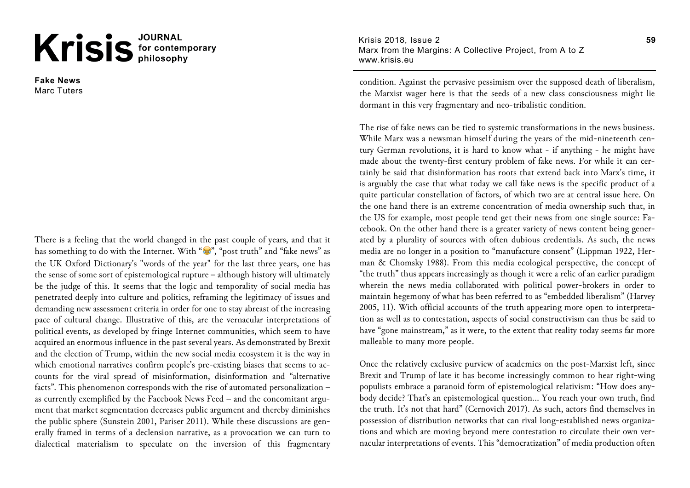# Krisis<sup>JOURNAL</sup>

**Fake News** Marc Tuters

There is a feeling that the world changed in the past couple of years, and that it has something to do with the Internet. With " $\mathcal{C}$ ", "post truth" and "fake news" as the UK Oxford Dictionary's "words of the year" for the last three years, one has the sense of some sort of epistemological rupture – although history will ultimately be the judge of this. It seems that the logic and temporality of social media has penetrated deeply into culture and politics, reframing the legitimacy of issues and demanding new assessment criteria in order for one to stay abreast of the increasing pace of cultural change. Illustrative of this, are the vernacular interpretations of political events, as developed by fringe Internet communities, which seem to have acquired an enormous influence in the past several years. As demonstrated by Brexit and the election of Trump, within the new social media ecosystem it is the way in which emotional narratives confirm people's pre-existing biases that seems to accounts for the viral spread of misinformation, disinformation and "alternative facts". This phenomenon corresponds with the rise of automated personalization – as currently exemplified by the Facebook News Feed – and the concomitant argument that market segmentation decreases public argument and thereby diminishes the public sphere (Sunstein 2001, Pariser 2011). While these discussions are generally framed in terms of a declension narrative, as a provocation we can turn to dialectical materialism to speculate on the inversion of this fragmentary

Krisis 2018, Issue 2 Marx from the Margins: A Collective Project, from A to Z www.krisis.eu

condition. Against the pervasive pessimism over the supposed death of liberalism, the Marxist wager here is that the seeds of a new class consciousness might lie dormant in this very fragmentary and neo-tribalistic condition.

The rise of fake news can be tied to systemic transformations in the news business. While Marx was a newsman himself during the years of the mid-nineteenth century German revolutions, it is hard to know what - if anything - he might have made about the twenty-first century problem of fake news. For while it can certainly be said that disinformation has roots that extend back into Marx's time, it is arguably the case that what today we call fake news is the specific product of a quite particular constellation of factors, of which two are at central issue here. On the one hand there is an extreme concentration of media ownership such that, in the US for example, most people tend get their news from one single source: Facebook. On the other hand there is a greater variety of news content being generated by a plurality of sources with often dubious credentials. As such, the news media are no longer in a position to "manufacture consent" (Lippman 1922, Herman & Chomsky 1988). From this media ecological perspective, the concept of "the truth" thus appears increasingly as though it were a relic of an earlier paradigm wherein the news media collaborated with political power-brokers in order to maintain hegemony of what has been referred to as "embedded liberalism" (Harvey 2005, 11). With official accounts of the truth appearing more open to interpretation as well as to contestation, aspects of social constructivism can thus be said to have "gone mainstream," as it were, to the extent that reality today seems far more malleable to many more people.

Once the relatively exclusive purview of academics on the post-Marxist left, since Brexit and Trump of late it has become increasingly common to hear right-wing populists embrace a paranoid form of epistemological relativism: "How does anybody decide? That's an epistemological question… You reach your own truth, find the truth. It's not that hard" (Cernovich 2017). As such, actors find themselves in possession of distribution networks that can rival long-established news organizations and which are moving beyond mere contestation to circulate their own vernacular interpretations of events. This "democratization" of media production often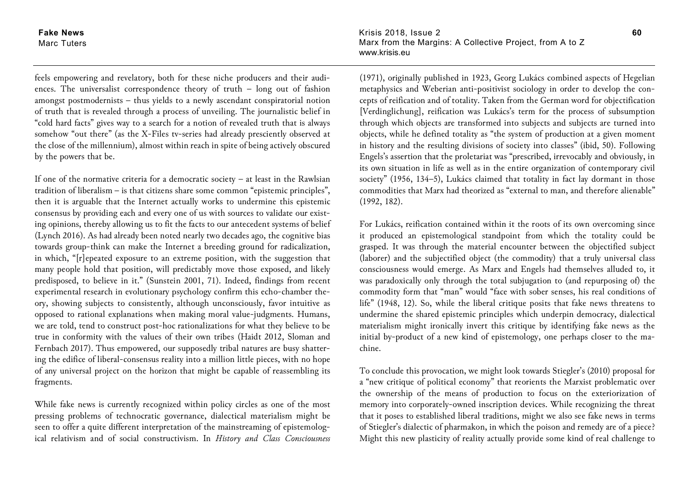**Fake News** Marc Tuters

feels empowering and revelatory, both for these niche producers and their audiences. The universalist correspondence theory of truth – long out of fashion amongst postmodernists – thus yields to a newly ascendant conspiratorial notion of truth that is revealed through a process of unveiling. The journalistic belief in "cold hard facts" gives way to a search for a notion of revealed truth that is always somehow "out there" (as the X-Files tv-series had already presciently observed at the close of the millennium), almost within reach in spite of being actively obscured by the powers that be.

If one of the normative criteria for a democratic society – at least in the Rawlsian tradition of liberalism – is that citizens share some common "epistemic principles", then it is arguable that the Internet actually works to undermine this epistemic consensus by providing each and every one of us with sources to validate our existing opinions, thereby allowing us to fit the facts to our antecedent systems of belief (Lynch 2016). As had already been noted nearly two decades ago, the cognitive bias towards group-think can make the Internet a breeding ground for radicalization, in which, "[r]epeated exposure to an extreme position, with the suggestion that many people hold that position, will predictably move those exposed, and likely predisposed, to believe in it." (Sunstein 2001, 71). Indeed, findings from recent experimental research in evolutionary psychology confirm this echo-chamber theory, showing subjects to consistently, although unconsciously, favor intuitive as opposed to rational explanations when making moral value-judgments. Humans, we are told, tend to construct post-hoc rationalizations for what they believe to be true in conformity with the values of their own tribes (Haidt 2012, Sloman and Fernbach 2017). Thus empowered, our supposedly tribal natures are busy shattering the edifice of liberal-consensus reality into a million little pieces, with no hope of any universal project on the horizon that might be capable of reassembling its fragments.

While fake news is currently recognized within policy circles as one of the most pressing problems of technocratic governance, dialectical materialism might be seen to offer a quite different interpretation of the mainstreaming of epistemological relativism and of social constructivism. In *History and Class Consciousness* Krisis 2018, Issue 2 Marx from the Margins: A Collective Project, from A to Z www.krisis.eu

(1971), originally published in 1923, Georg Lukács combined aspects of Hegelian metaphysics and Weberian anti-positivist sociology in order to develop the concepts of reification and of totality. Taken from the German word for objectification [Verdinglichung], reification was Lukács's term for the process of subsumption through which objects are transformed into subjects and subjects are turned into objects, while he defined totality as "the system of production at a given moment in history and the resulting divisions of society into classes" (ibid, 50). Following Engels's assertion that the proletariat was "prescribed, irrevocably and obviously, in its own situation in life as well as in the entire organization of contemporary civil society" (1956, 134–5), Lukács claimed that totality in fact lay dormant in those commodities that Marx had theorized as "external to man, and therefore alienable" (1992, 182).

For Lukács, reification contained within it the roots of its own overcoming since it produced an epistemological standpoint from which the totality could be grasped. It was through the material encounter between the objectified subject (laborer) and the subjectified object (the commodity) that a truly universal class consciousness would emerge. As Marx and Engels had themselves alluded to, it was paradoxically only through the total subjugation to (and repurposing of) the commodity form that "man" would "face with sober senses, his real conditions of life" (1948, 12). So, while the liberal critique posits that fake news threatens to undermine the shared epistemic principles which underpin democracy, dialectical materialism might ironically invert this critique by identifying fake news as the initial by-product of a new kind of epistemology, one perhaps closer to the machine.

To conclude this provocation, we might look towards Stiegler's (2010) proposal for a "new critique of political economy" that reorients the Marxist problematic over the ownership of the means of production to focus on the exteriorization of memory into corporately-owned inscription devices. While recognizing the threat that it poses to established liberal traditions, might we also see fake news in terms of Stiegler's dialectic of pharmakon, in which the poison and remedy are of a piece? Might this new plasticity of reality actually provide some kind of real challenge to